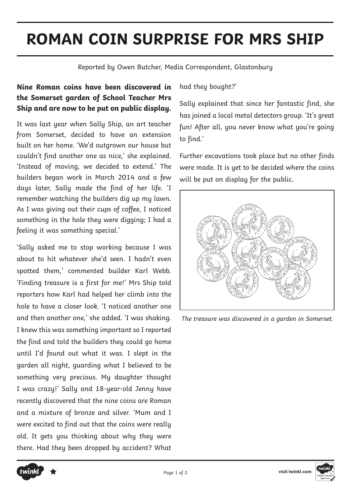## **ROMAN COIN SURPRISE FOR MRS SHIP**

Reported by Owen Butcher, Media Correspondent, Glastonbury

## **Nine Roman coins have been discovered in the Somerset garden of School Teacher Mrs Ship and are now to be put on public display.**

It was last year when Sally Ship, an art teacher from Somerset, decided to have an extension built on her home. 'We'd outgrown our house but couldn't find another one as nice,' she explained. 'Instead of moving, we decided to extend.' The builders began work in March 2014 and a few days later, Sally made the find of her life. 'I remember watching the builders dig up my lawn. As I was giving out their cups of coffee, I noticed something in the hole they were digging; I had a feeling it was something special.'

'Sally asked me to stop working because I was about to hit whatever she'd seen. I hadn't even spotted them,' commented builder Karl Webb. 'Finding treasure is a first for me!' Mrs Ship told reporters how Karl had helped her climb into the hole to have a closer look. 'I noticed another one and then another one,' she added. 'I was shaking. I knew this was something important so I reported the find and told the builders they could go home until I'd found out what it was. I slept in the garden all night, guarding what I believed to be something very precious. My daughter thought I was crazy!' Sally and 18-year-old Jenny have recently discovered that the nine coins are Roman and a mixture of bronze and silver. 'Mum and I were excited to find out that the coins were really old. It gets you thinking about why they were there. Had they been dropped by accident? What

had they bought?'

Sally explained that since her fantastic find, she has joined a local metal detectors group. 'It's great fun! After all, you never know what you're going to find.'

Further excavations took place but no other finds were made. It is yet to be decided where the coins will be put on display for the public.



The treasure was discovered in a garden in Somerset.